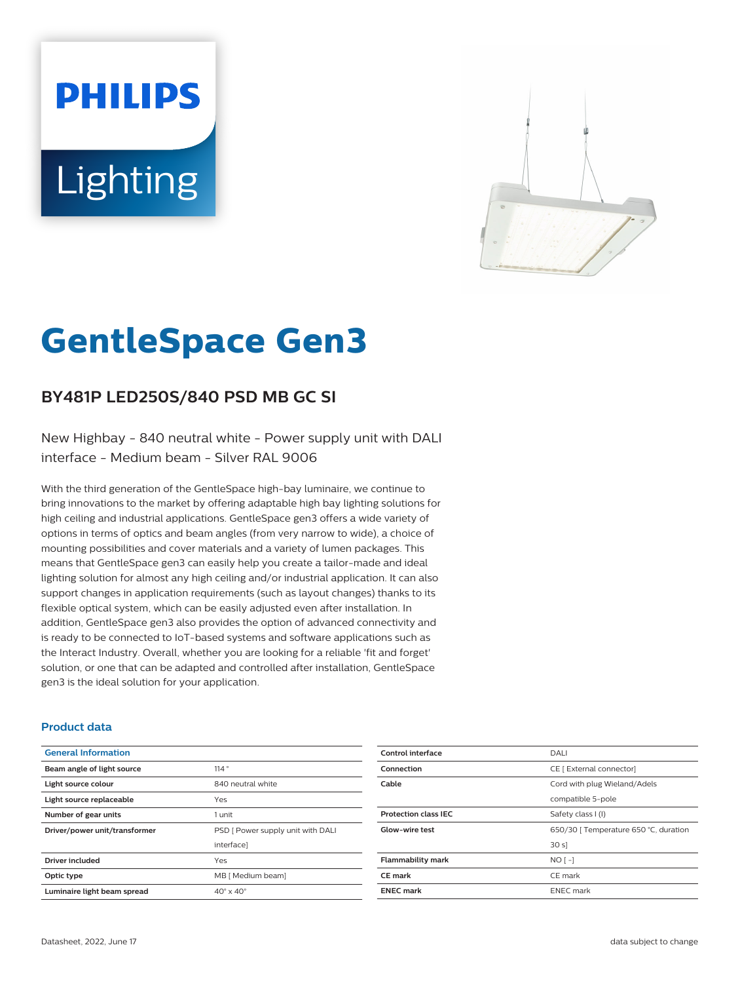# **PHILIPS** Lighting



# **GentleSpace Gen3**

# **BY481P LED250S/840 PSD MB GC SI**

New Highbay - 840 neutral white - Power supply unit with DALI interface - Medium beam - Silver RAL 9006

With the third generation of the GentleSpace high-bay luminaire, we continue to bring innovations to the market by offering adaptable high bay lighting solutions for high ceiling and industrial applications. GentleSpace gen3 offers a wide variety of options in terms of optics and beam angles (from very narrow to wide), a choice of mounting possibilities and cover materials and a variety of lumen packages. This means that GentleSpace gen3 can easily help you create a tailor-made and ideal lighting solution for almost any high ceiling and/or industrial application. It can also support changes in application requirements (such as layout changes) thanks to its flexible optical system, which can be easily adjusted even after installation. In addition, GentleSpace gen3 also provides the option of advanced connectivity and is ready to be connected to IoT-based systems and software applications such as the Interact Industry. Overall, whether you are looking for a reliable 'fit and forget' solution, or one that can be adapted and controlled after installation, GentleSpace gen3 is the ideal solution for your application.

#### **Product data**

| <b>General Information</b>    |                                   |
|-------------------------------|-----------------------------------|
| Beam angle of light source    | 114°                              |
| Light source colour           | 840 neutral white                 |
| Light source replaceable      | Yes                               |
| Number of gear units          | 1 unit                            |
| Driver/power unit/transformer | PSD [ Power supply unit with DALI |
|                               | interface]                        |
| <b>Driver included</b>        | Yes                               |
| Optic type                    | MB [ Medium beam]                 |
| Luminaire light beam spread   | $40^\circ \times 40^\circ$        |

| Control interface           | <b>DALI</b>                           |
|-----------------------------|---------------------------------------|
| Connection                  | CE [ External connector]              |
| Cable                       | Cord with plug Wieland/Adels          |
|                             | compatible 5-pole                     |
| <b>Protection class IEC</b> | Safety class I (I)                    |
| <b>Glow-wire test</b>       | 650/30   Temperature 650 °C, duration |
|                             | 30 s                                  |
| <b>Flammability mark</b>    | $NO[-]$                               |
| <b>CE</b> mark              | CE mark                               |
| <b>ENEC mark</b>            | <b>ENEC</b> mark                      |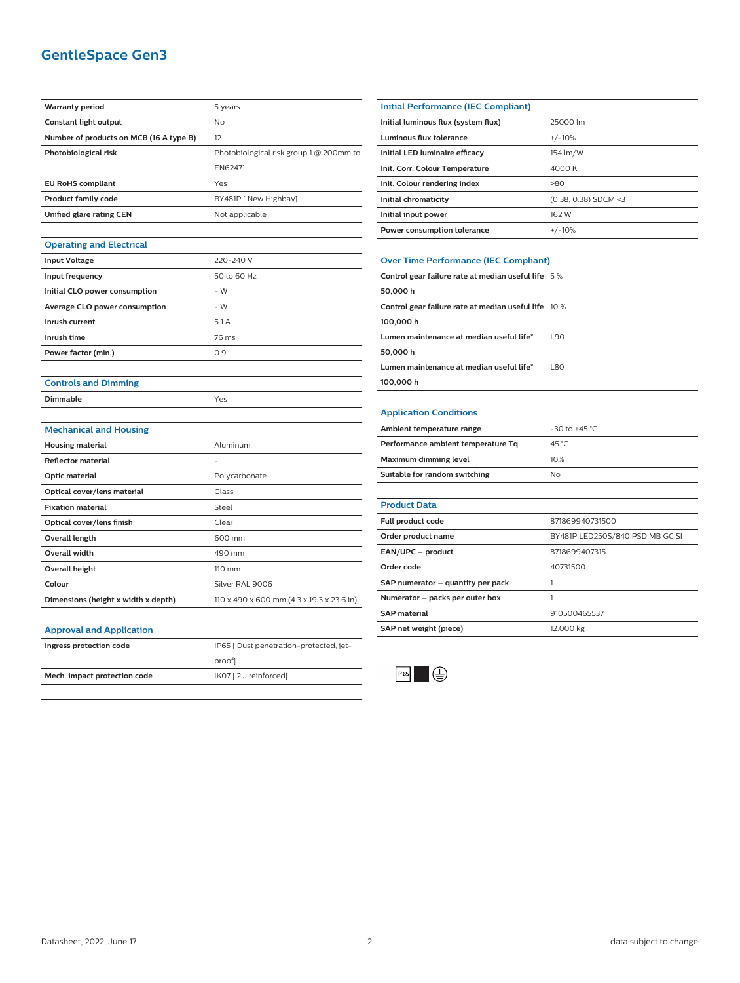## **GentleSpace Gen3**

| <b>Warranty period</b>                  | 5 years                                   |
|-----------------------------------------|-------------------------------------------|
| <b>Constant light output</b>            | No                                        |
| Number of products on MCB (16 A type B) | 12                                        |
| Photobiological risk                    | Photobiological risk group 1 @ 200mm to   |
|                                         | EN62471                                   |
| <b>EU RoHS compliant</b>                | Yes                                       |
| <b>Product family code</b>              | BY481P [ New Highbay]                     |
| Unified glare rating CEN                | Not applicable                            |
|                                         |                                           |
| <b>Operating and Electrical</b>         |                                           |
| <b>Input Voltage</b>                    | 220-240 V                                 |
| Input frequency                         | 50 to 60 Hz                               |
| Initial CLO power consumption           | $-W$                                      |
| <b>Average CLO power consumption</b>    | - W                                       |
| Inrush current                          | 5.1A                                      |
| Inrush time                             | 76 ms                                     |
| Power factor (min.)                     | 0.9                                       |
|                                         |                                           |
| <b>Controls and Dimming</b>             |                                           |
| Dimmable                                | Yes                                       |
|                                         |                                           |
| <b>Mechanical and Housing</b>           |                                           |
| <b>Housing material</b>                 | Aluminum                                  |
| <b>Reflector material</b>               |                                           |
| Optic material                          | Polycarbonate                             |
| Optical cover/lens material             | Glass                                     |
| <b>Fixation material</b>                | Steel                                     |
| Optical cover/lens finish               | Clear                                     |
| Overall length                          | 600 mm                                    |
| <b>Overall width</b>                    | 490 mm                                    |
| <b>Overall height</b>                   | 110 mm                                    |
| Colour                                  | Silver RAL 9006                           |
| Dimensions (height x width x depth)     | 110 x 490 x 600 mm (4.3 x 19.3 x 23.6 in) |
|                                         |                                           |
| <b>Approval and Application</b>         |                                           |
| Ingress protection code                 | IP65 [ Dust penetration-protected, jet-   |
|                                         | proof]                                    |
| Mech. impact protection code            | IK07 [2 J reinforced]                     |
|                                         |                                           |

| <b>Initial Performance (IEC Compliant)</b>   |                        |  |
|----------------------------------------------|------------------------|--|
| Initial luminous flux (system flux)          | 25000 lm               |  |
| Luminous flux tolerance                      | $+/-10%$               |  |
| Initial LED luminaire efficacy               | 154 lm/W               |  |
| Init. Corr. Colour Temperature               | 4000 K                 |  |
| Init. Colour rendering index                 | >80                    |  |
| Initial chromaticity                         | $(0.38, 0.38)$ SDCM <3 |  |
| Initial input power                          | 162 W                  |  |
| Power consumption tolerance                  | $+/-10%$               |  |
|                                              |                        |  |
| <b>Over Time Performance (IEC Compliant)</b> |                        |  |

| Control gear failure rate at median useful life 5%   |      |
|------------------------------------------------------|------|
| 50,000 h                                             |      |
| Control gear failure rate at median useful life 10 % |      |
| 100,000 h                                            |      |
| Lumen maintenance at median useful life*             | 190  |
| 50,000 h                                             |      |
| Lumen maintenance at median useful life*             | 1.80 |

**100,000 h**

#### **Application Conditions**

| Ambient temperature range          | $-30$ to $+45$ °C. |
|------------------------------------|--------------------|
| Performance ambient temperature Tq | 45 °C              |
| Maximum dimming level              | 10%                |
| Suitable for random switching      | No.                |

| <b>Product Data</b>               |                                 |
|-----------------------------------|---------------------------------|
| Full product code                 | 871869940731500                 |
| Order product name                | BY481P LED250S/840 PSD MB GC SI |
| EAN/UPC - product                 | 8718699407315                   |
| Order code                        | 40731500                        |
| SAP numerator - quantity per pack |                                 |
| Numerator - packs per outer box   |                                 |
| <b>SAP</b> material               | 910500465537                    |
| SAP net weight (piece)            | 12.000 kg                       |
|                                   |                                 |